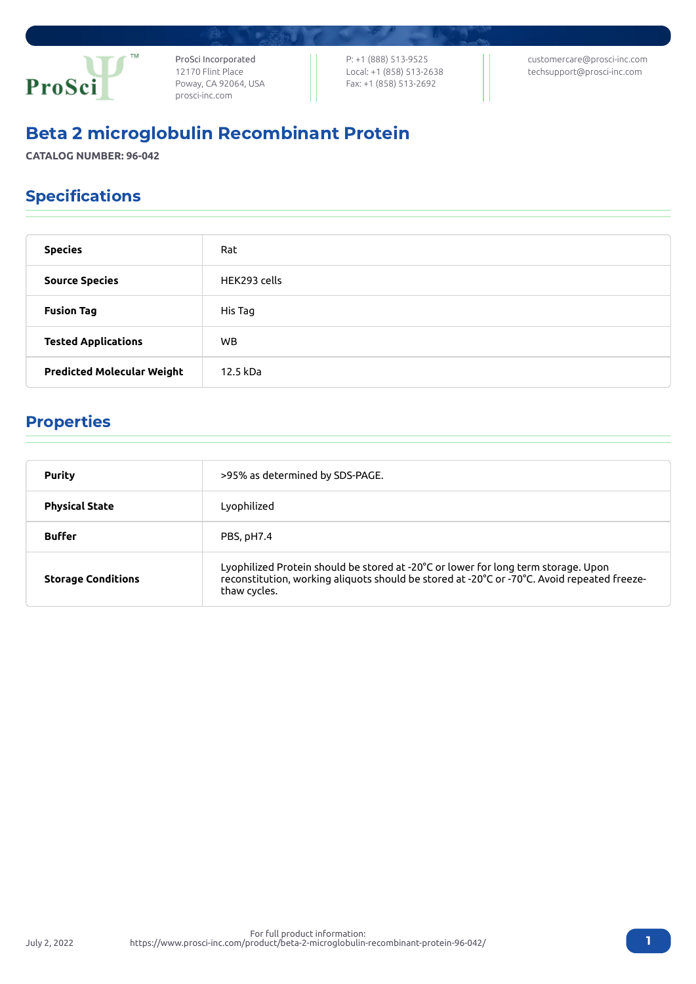

ProSci Incorporated 12170 Flint Place Poway, CA 92064, USA [prosci-inc.com](https://prosci-inc.com/)

P: +1 (888) 513-9525 Local: +1 (858) 513-2638 Fax: +1 (858) 513-2692

[customercare@prosci-inc.com](mailto:customercare@prosci-inc.com) [techsupport@prosci-inc.com](mailto:techsupport@prosci-inc.com)

# Beta 2 microglobulin Recombinant Protein

**CATALOG NUMBER: 96-042**

## Specifications

| <b>Species</b>                    | Rat          |
|-----------------------------------|--------------|
| <b>Source Species</b>             | HEK293 cells |
| <b>Fusion Tag</b>                 | His Tag      |
| <b>Tested Applications</b>        | <b>WB</b>    |
| <b>Predicted Molecular Weight</b> | 12.5 kDa     |

### Properties

July 2, 2022

| <b>Purity</b>             | >95% as determined by SDS-PAGE.                                                                                                                                                                   |
|---------------------------|---------------------------------------------------------------------------------------------------------------------------------------------------------------------------------------------------|
| <b>Physical State</b>     | Lyophilized                                                                                                                                                                                       |
| <b>Buffer</b>             | PBS, pH7.4                                                                                                                                                                                        |
| <b>Storage Conditions</b> | Lyophilized Protein should be stored at -20°C or lower for long term storage. Upon<br>reconstitution, working aliquots should be stored at -20°C or -70°C. Avoid repeated freeze-<br>thaw cycles. |